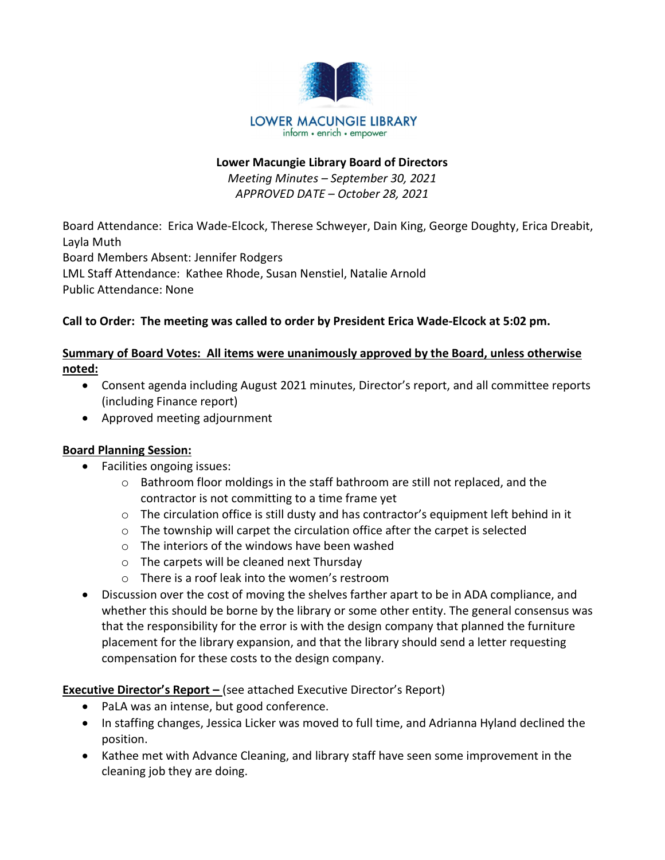

#### Lower Macungie Library Board of Directors

Meeting Minutes – September 30, 2021 APPROVED DATE – October 28, 2021

Board Attendance: Erica Wade-Elcock, Therese Schweyer, Dain King, George Doughty, Erica Dreabit, Layla Muth Board Members Absent: Jennifer Rodgers LML Staff Attendance: Kathee Rhode, Susan Nenstiel, Natalie Arnold Public Attendance: None

# Call to Order: The meeting was called to order by President Erica Wade-Elcock at 5:02 pm.

# Summary of Board Votes: All items were unanimously approved by the Board, unless otherwise noted:

- Consent agenda including August 2021 minutes, Director's report, and all committee reports (including Finance report)
- Approved meeting adjournment

#### Board Planning Session:

- Facilities ongoing issues:
	- $\circ$  Bathroom floor moldings in the staff bathroom are still not replaced, and the contractor is not committing to a time frame yet
	- $\circ$  The circulation office is still dusty and has contractor's equipment left behind in it
	- o The township will carpet the circulation office after the carpet is selected
	- o The interiors of the windows have been washed
	- o The carpets will be cleaned next Thursday
	- o There is a roof leak into the women's restroom
- Discussion over the cost of moving the shelves farther apart to be in ADA compliance, and whether this should be borne by the library or some other entity. The general consensus was that the responsibility for the error is with the design company that planned the furniture placement for the library expansion, and that the library should send a letter requesting compensation for these costs to the design company.

Executive Director's Report – (see attached Executive Director's Report)

- PaLA was an intense, but good conference.
- In staffing changes, Jessica Licker was moved to full time, and Adrianna Hyland declined the position.
- Kathee met with Advance Cleaning, and library staff have seen some improvement in the cleaning job they are doing.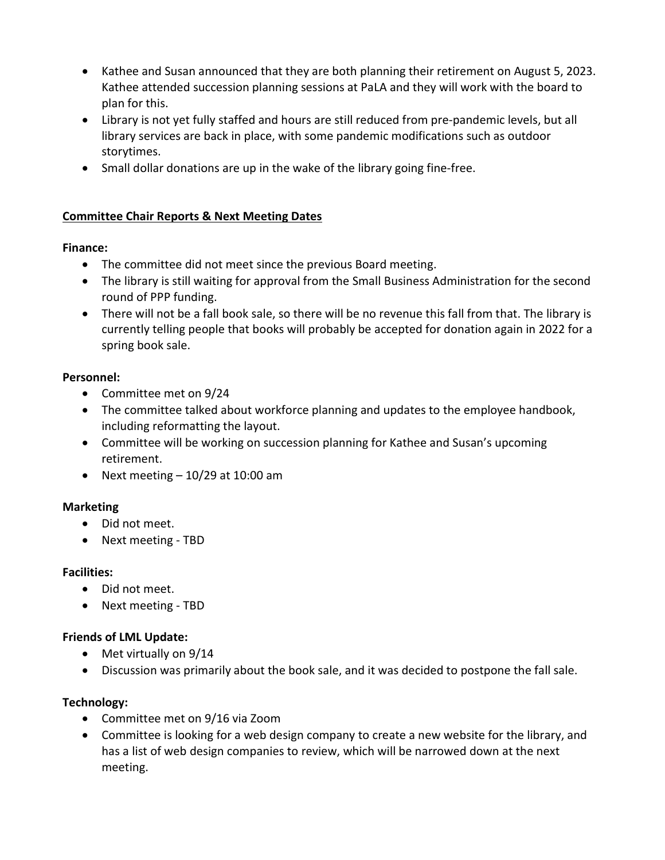- Kathee and Susan announced that they are both planning their retirement on August 5, 2023. Kathee attended succession planning sessions at PaLA and they will work with the board to plan for this.
- Library is not yet fully staffed and hours are still reduced from pre-pandemic levels, but all library services are back in place, with some pandemic modifications such as outdoor storytimes.
- Small dollar donations are up in the wake of the library going fine-free.

# Committee Chair Reports & Next Meeting Dates

#### Finance:

- The committee did not meet since the previous Board meeting.
- The library is still waiting for approval from the Small Business Administration for the second round of PPP funding.
- There will not be a fall book sale, so there will be no revenue this fall from that. The library is currently telling people that books will probably be accepted for donation again in 2022 for a spring book sale.

#### Personnel:

- Committee met on 9/24
- The committee talked about workforce planning and updates to the employee handbook, including reformatting the layout.
- Committee will be working on succession planning for Kathee and Susan's upcoming retirement.
- Next meeting  $-10/29$  at 10:00 am

#### Marketing

- Did not meet.
- Next meeting TBD

#### Facilities:

- Did not meet.
- Next meeting TBD

#### Friends of LML Update:

- Met virtually on 9/14
- Discussion was primarily about the book sale, and it was decided to postpone the fall sale.

#### Technology:

- Committee met on 9/16 via Zoom
- Committee is looking for a web design company to create a new website for the library, and has a list of web design companies to review, which will be narrowed down at the next meeting.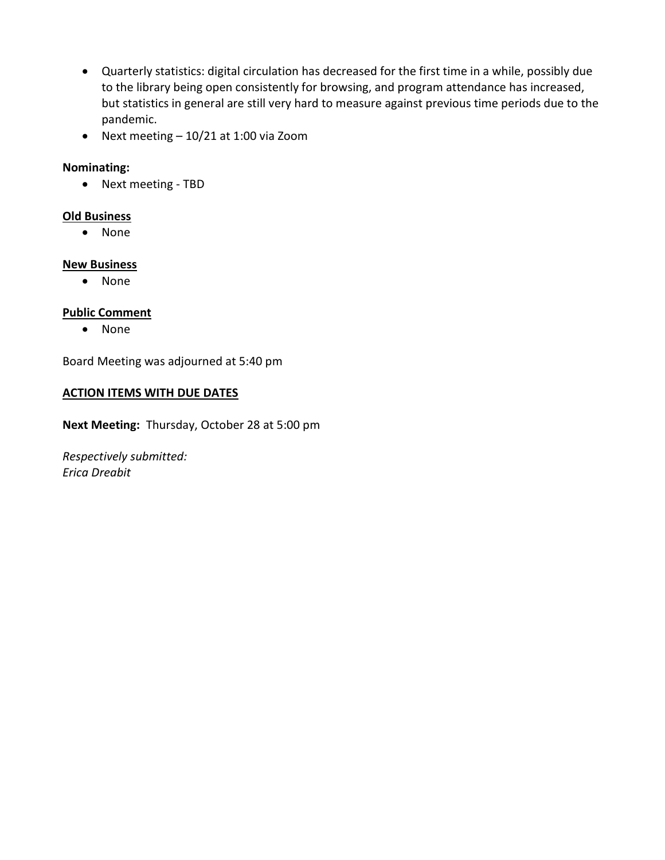- Quarterly statistics: digital circulation has decreased for the first time in a while, possibly due to the library being open consistently for browsing, and program attendance has increased, but statistics in general are still very hard to measure against previous time periods due to the pandemic.
- Next meeting 10/21 at 1:00 via Zoom

# Nominating:

Next meeting - TBD

## Old Business

None

#### New Business

• None

# Public Comment

• None

Board Meeting was adjourned at 5:40 pm

#### ACTION ITEMS WITH DUE DATES

Next Meeting: Thursday, October 28 at 5:00 pm

Respectively submitted: Erica Dreabit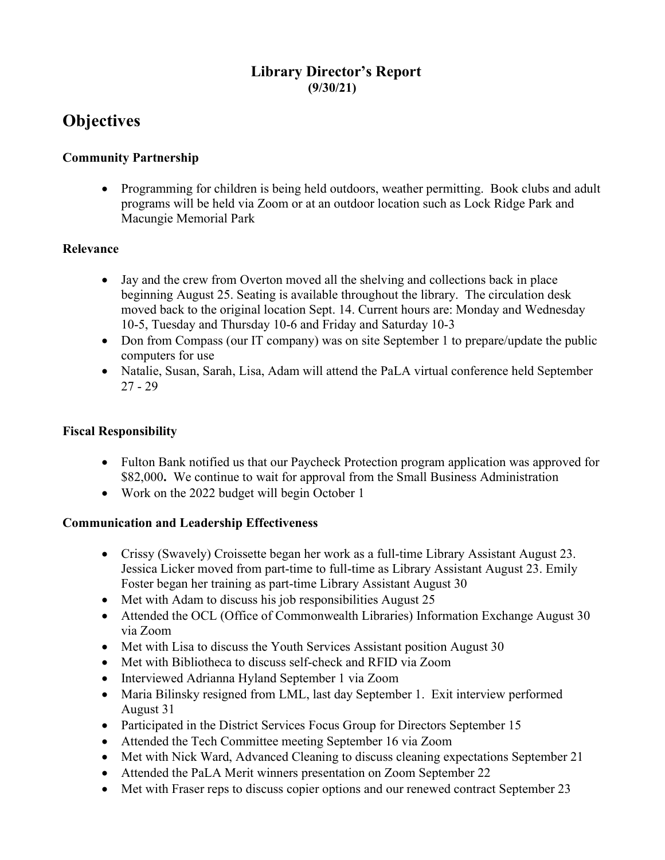# Library Director's Report (9/30/21)

# **Objectives**

# Community Partnership

• Programming for children is being held outdoors, weather permitting. Book clubs and adult programs will be held via Zoom or at an outdoor location such as Lock Ridge Park and Macungie Memorial Park

#### Relevance

- Jay and the crew from Overton moved all the shelving and collections back in place beginning August 25. Seating is available throughout the library. The circulation desk moved back to the original location Sept. 14. Current hours are: Monday and Wednesday 10-5, Tuesday and Thursday 10-6 and Friday and Saturday 10-3
- Don from Compass (our IT company) was on site September 1 to prepare/update the public computers for use
- Natalie, Susan, Sarah, Lisa, Adam will attend the PaLA virtual conference held September 27 - 29

#### Fiscal Responsibility

- Fulton Bank notified us that our Paycheck Protection program application was approved for \$82,000. We continue to wait for approval from the Small Business Administration
- Work on the 2022 budget will begin October 1

#### Communication and Leadership Effectiveness

- Crissy (Swavely) Croissette began her work as a full-time Library Assistant August 23. Jessica Licker moved from part-time to full-time as Library Assistant August 23. Emily Foster began her training as part-time Library Assistant August 30
- Met with Adam to discuss his job responsibilities August 25
- Attended the OCL (Office of Commonwealth Libraries) Information Exchange August 30 via Zoom
- Met with Lisa to discuss the Youth Services Assistant position August 30
- Met with Bibliotheca to discuss self-check and RFID via Zoom
- Interviewed Adrianna Hyland September 1 via Zoom
- Maria Bilinsky resigned from LML, last day September 1. Exit interview performed August 31
- Participated in the District Services Focus Group for Directors September 15
- Attended the Tech Committee meeting September 16 via Zoom
- Met with Nick Ward, Advanced Cleaning to discuss cleaning expectations September 21
- Attended the PaLA Merit winners presentation on Zoom September 22
- Met with Fraser reps to discuss copier options and our renewed contract September 23